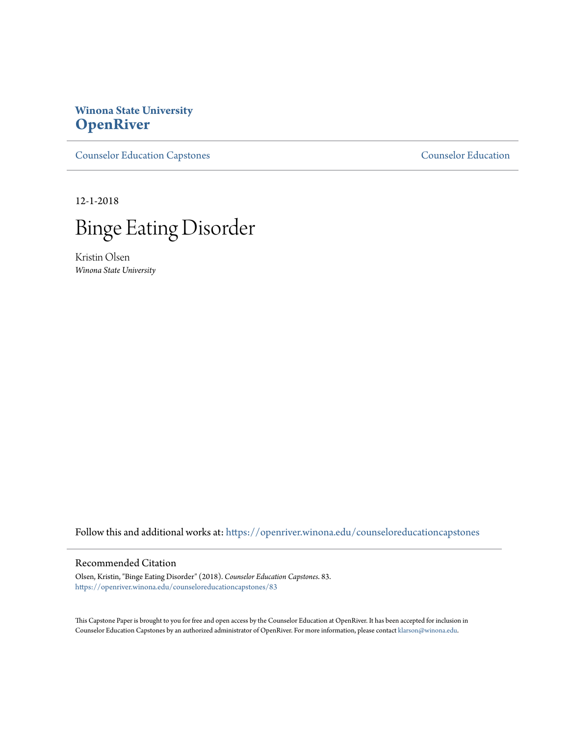# **Winona State University [OpenRiver](https://openriver.winona.edu?utm_source=openriver.winona.edu%2Fcounseloreducationcapstones%2F83&utm_medium=PDF&utm_campaign=PDFCoverPages)**

[Counselor Education Capstones](https://openriver.winona.edu/counseloreducationcapstones?utm_source=openriver.winona.edu%2Fcounseloreducationcapstones%2F83&utm_medium=PDF&utm_campaign=PDFCoverPages) [Counselor Education](https://openriver.winona.edu/counseloreducation?utm_source=openriver.winona.edu%2Fcounseloreducationcapstones%2F83&utm_medium=PDF&utm_campaign=PDFCoverPages)

12-1-2018



Kristin Olsen *Winona State University*

Follow this and additional works at: [https://openriver.winona.edu/counseloreducationcapstones](https://openriver.winona.edu/counseloreducationcapstones?utm_source=openriver.winona.edu%2Fcounseloreducationcapstones%2F83&utm_medium=PDF&utm_campaign=PDFCoverPages)

### Recommended Citation

Olsen, Kristin, "Binge Eating Disorder" (2018). *Counselor Education Capstones*. 83. [https://openriver.winona.edu/counseloreducationcapstones/83](https://openriver.winona.edu/counseloreducationcapstones/83?utm_source=openriver.winona.edu%2Fcounseloreducationcapstones%2F83&utm_medium=PDF&utm_campaign=PDFCoverPages)

This Capstone Paper is brought to you for free and open access by the Counselor Education at OpenRiver. It has been accepted for inclusion in Counselor Education Capstones by an authorized administrator of OpenRiver. For more information, please contact [klarson@winona.edu](mailto:klarson@winona.edu).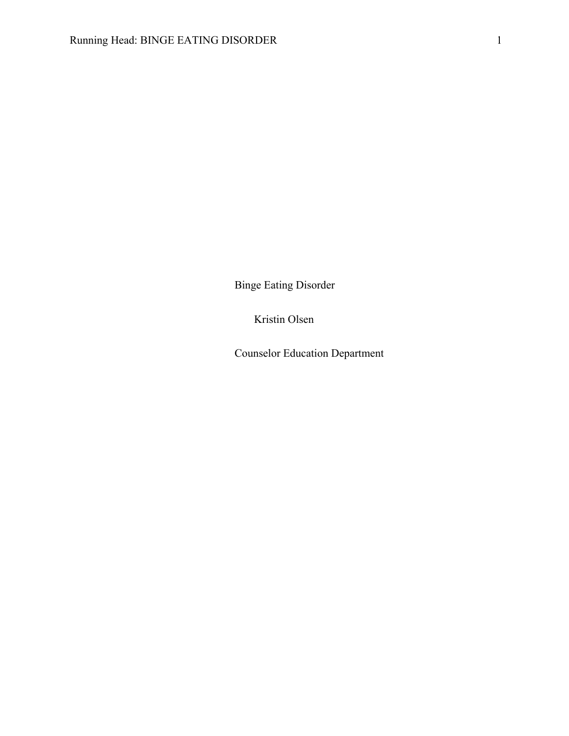Binge Eating Disorder

Kristin Olsen

Counselor Education Department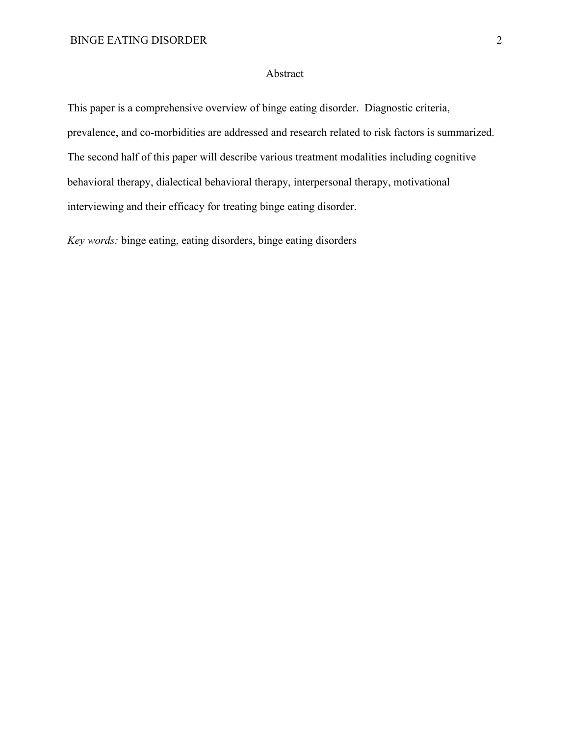### Abstract

This paper is a comprehensive overview of binge eating disorder. Diagnostic criteria, prevalence, and co-morbidities are addressed and research related to risk factors is summarized. The second half of this paper will describe various treatment modalities including cognitive behavioral therapy, dialectical behavioral therapy, interpersonal therapy, motivational interviewing and their efficacy for treating binge eating disorder.

*Key words:* binge eating, eating disorders, binge eating disorders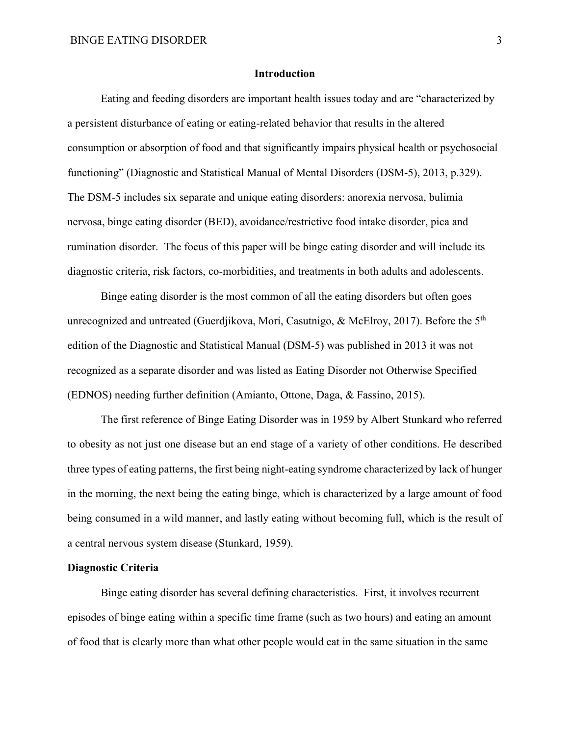#### **Introduction**

Eating and feeding disorders are important health issues today and are "characterized by a persistent disturbance of eating or eating-related behavior that results in the altered consumption or absorption of food and that significantly impairs physical health or psychosocial functioning" (Diagnostic and Statistical Manual of Mental Disorders (DSM-5), 2013, p.329). The DSM-5 includes six separate and unique eating disorders: anorexia nervosa, bulimia nervosa, binge eating disorder (BED), avoidance/restrictive food intake disorder, pica and rumination disorder. The focus of this paper will be binge eating disorder and will include its diagnostic criteria, risk factors, co-morbidities, and treatments in both adults and adolescents.

Binge eating disorder is the most common of all the eating disorders but often goes unrecognized and untreated (Guerdjikova, Mori, Casutnigo, & McElroy, 2017). Before the 5<sup>th</sup> edition of the Diagnostic and Statistical Manual (DSM-5) was published in 2013 it was not recognized as a separate disorder and was listed as Eating Disorder not Otherwise Specified (EDNOS) needing further definition (Amianto, Ottone, Daga, & Fassino, 2015).

The first reference of Binge Eating Disorder was in 1959 by Albert Stunkard who referred to obesity as not just one disease but an end stage of a variety of other conditions. He described three types of eating patterns, the first being night-eating syndrome characterized by lack of hunger in the morning, the next being the eating binge, which is characterized by a large amount of food being consumed in a wild manner, and lastly eating without becoming full, which is the result of a central nervous system disease (Stunkard, 1959).

### **Diagnostic Criteria**

Binge eating disorder has several defining characteristics. First, it involves recurrent episodes of binge eating within a specific time frame (such as two hours) and eating an amount of food that is clearly more than what other people would eat in the same situation in the same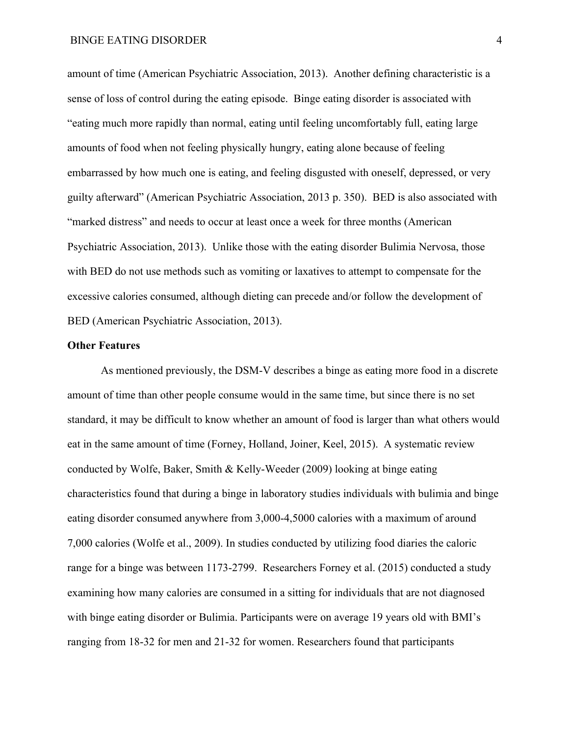amount of time (American Psychiatric Association, 2013). Another defining characteristic is a sense of loss of control during the eating episode. Binge eating disorder is associated with "eating much more rapidly than normal, eating until feeling uncomfortably full, eating large amounts of food when not feeling physically hungry, eating alone because of feeling embarrassed by how much one is eating, and feeling disgusted with oneself, depressed, or very guilty afterward" (American Psychiatric Association, 2013 p. 350). BED is also associated with "marked distress" and needs to occur at least once a week for three months (American Psychiatric Association, 2013). Unlike those with the eating disorder Bulimia Nervosa, those with BED do not use methods such as vomiting or laxatives to attempt to compensate for the excessive calories consumed, although dieting can precede and/or follow the development of BED (American Psychiatric Association, 2013).

### **Other Features**

As mentioned previously, the DSM-V describes a binge as eating more food in a discrete amount of time than other people consume would in the same time, but since there is no set standard, it may be difficult to know whether an amount of food is larger than what others would eat in the same amount of time (Forney, Holland, Joiner, Keel, 2015). A systematic review conducted by Wolfe, Baker, Smith & Kelly-Weeder (2009) looking at binge eating characteristics found that during a binge in laboratory studies individuals with bulimia and binge eating disorder consumed anywhere from 3,000-4,5000 calories with a maximum of around 7,000 calories (Wolfe et al., 2009). In studies conducted by utilizing food diaries the caloric range for a binge was between 1173-2799. Researchers Forney et al. (2015) conducted a study examining how many calories are consumed in a sitting for individuals that are not diagnosed with binge eating disorder or Bulimia. Participants were on average 19 years old with BMI's ranging from 18-32 for men and 21-32 for women. Researchers found that participants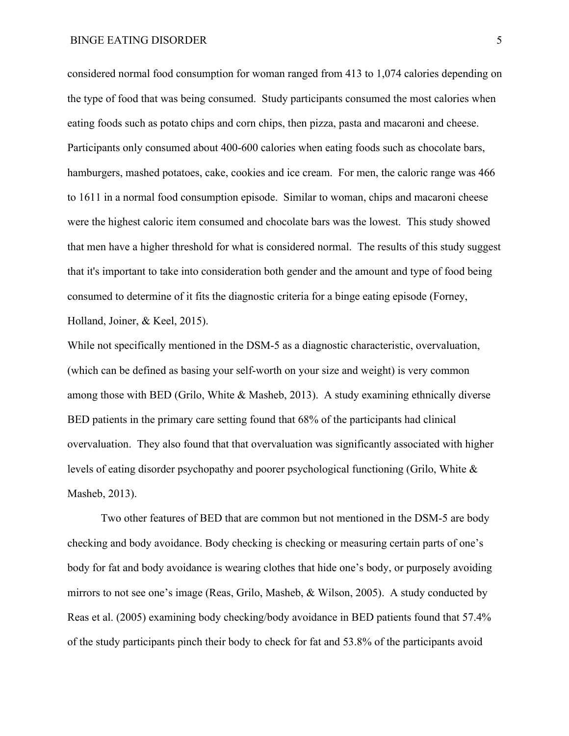#### BINGE EATING DISORDER 5

considered normal food consumption for woman ranged from 413 to 1,074 calories depending on the type of food that was being consumed. Study participants consumed the most calories when eating foods such as potato chips and corn chips, then pizza, pasta and macaroni and cheese. Participants only consumed about 400-600 calories when eating foods such as chocolate bars, hamburgers, mashed potatoes, cake, cookies and ice cream. For men, the caloric range was 466 to 1611 in a normal food consumption episode. Similar to woman, chips and macaroni cheese were the highest caloric item consumed and chocolate bars was the lowest. This study showed that men have a higher threshold for what is considered normal. The results of this study suggest that it's important to take into consideration both gender and the amount and type of food being consumed to determine of it fits the diagnostic criteria for a binge eating episode (Forney, Holland, Joiner, & Keel, 2015).

While not specifically mentioned in the DSM-5 as a diagnostic characteristic, overvaluation, (which can be defined as basing your self-worth on your size and weight) is very common among those with BED (Grilo, White & Masheb, 2013). A study examining ethnically diverse BED patients in the primary care setting found that 68% of the participants had clinical overvaluation. They also found that that overvaluation was significantly associated with higher levels of eating disorder psychopathy and poorer psychological functioning (Grilo, White & Masheb, 2013).

Two other features of BED that are common but not mentioned in the DSM-5 are body checking and body avoidance. Body checking is checking or measuring certain parts of one's body for fat and body avoidance is wearing clothes that hide one's body, or purposely avoiding mirrors to not see one's image (Reas, Grilo, Masheb, & Wilson, 2005). A study conducted by Reas et al. (2005) examining body checking/body avoidance in BED patients found that 57.4% of the study participants pinch their body to check for fat and 53.8% of the participants avoid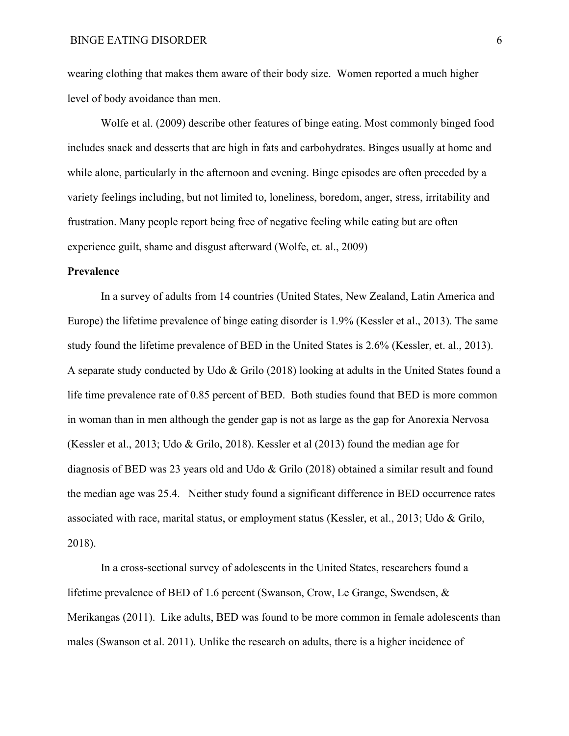wearing clothing that makes them aware of their body size. Women reported a much higher level of body avoidance than men.

Wolfe et al. (2009) describe other features of binge eating. Most commonly binged food includes snack and desserts that are high in fats and carbohydrates. Binges usually at home and while alone, particularly in the afternoon and evening. Binge episodes are often preceded by a variety feelings including, but not limited to, loneliness, boredom, anger, stress, irritability and frustration. Many people report being free of negative feeling while eating but are often experience guilt, shame and disgust afterward (Wolfe, et. al., 2009)

### **Prevalence**

In a survey of adults from 14 countries (United States, New Zealand, Latin America and Europe) the lifetime prevalence of binge eating disorder is 1.9% (Kessler et al., 2013). The same study found the lifetime prevalence of BED in the United States is 2.6% (Kessler, et. al., 2013). A separate study conducted by Udo & Grilo (2018) looking at adults in the United States found a life time prevalence rate of 0.85 percent of BED. Both studies found that BED is more common in woman than in men although the gender gap is not as large as the gap for Anorexia Nervosa (Kessler et al., 2013; Udo & Grilo, 2018). Kessler et al (2013) found the median age for diagnosis of BED was 23 years old and Udo & Grilo (2018) obtained a similar result and found the median age was 25.4. Neither study found a significant difference in BED occurrence rates associated with race, marital status, or employment status (Kessler, et al., 2013; Udo & Grilo, 2018).

In a cross-sectional survey of adolescents in the United States, researchers found a lifetime prevalence of BED of 1.6 percent (Swanson, Crow, Le Grange, Swendsen, & Merikangas (2011). Like adults, BED was found to be more common in female adolescents than males (Swanson et al. 2011). Unlike the research on adults, there is a higher incidence of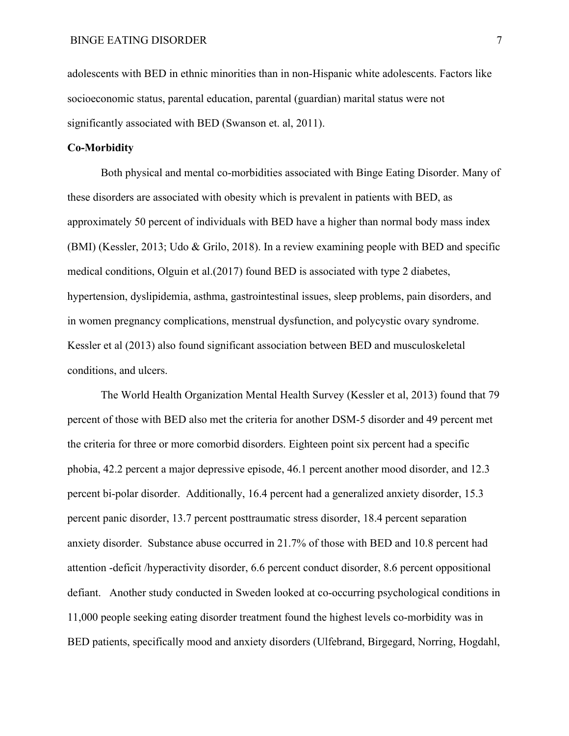adolescents with BED in ethnic minorities than in non-Hispanic white adolescents. Factors like socioeconomic status, parental education, parental (guardian) marital status were not significantly associated with BED (Swanson et. al, 2011).

#### **Co-Morbidity**

Both physical and mental co-morbidities associated with Binge Eating Disorder. Many of these disorders are associated with obesity which is prevalent in patients with BED, as approximately 50 percent of individuals with BED have a higher than normal body mass index (BMI) (Kessler, 2013; Udo & Grilo, 2018). In a review examining people with BED and specific medical conditions, Olguin et al.(2017) found BED is associated with type 2 diabetes, hypertension, dyslipidemia, asthma, gastrointestinal issues, sleep problems, pain disorders, and in women pregnancy complications, menstrual dysfunction, and polycystic ovary syndrome. Kessler et al (2013) also found significant association between BED and musculoskeletal conditions, and ulcers.

The World Health Organization Mental Health Survey (Kessler et al, 2013) found that 79 percent of those with BED also met the criteria for another DSM-5 disorder and 49 percent met the criteria for three or more comorbid disorders. Eighteen point six percent had a specific phobia, 42.2 percent a major depressive episode, 46.1 percent another mood disorder, and 12.3 percent bi-polar disorder. Additionally, 16.4 percent had a generalized anxiety disorder, 15.3 percent panic disorder, 13.7 percent posttraumatic stress disorder, 18.4 percent separation anxiety disorder. Substance abuse occurred in 21.7% of those with BED and 10.8 percent had attention -deficit /hyperactivity disorder, 6.6 percent conduct disorder, 8.6 percent oppositional defiant. Another study conducted in Sweden looked at co-occurring psychological conditions in 11,000 people seeking eating disorder treatment found the highest levels co-morbidity was in BED patients, specifically mood and anxiety disorders (Ulfebrand, Birgegard, Norring, Hogdahl,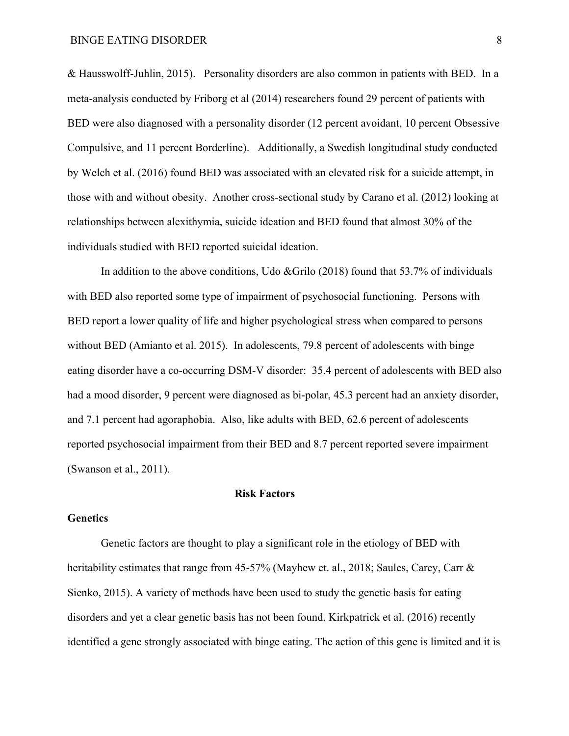& Hausswolff-Juhlin, 2015). Personality disorders are also common in patients with BED. In a meta-analysis conducted by Friborg et al (2014) researchers found 29 percent of patients with BED were also diagnosed with a personality disorder (12 percent avoidant, 10 percent Obsessive Compulsive, and 11 percent Borderline). Additionally, a Swedish longitudinal study conducted by Welch et al. (2016) found BED was associated with an elevated risk for a suicide attempt, in those with and without obesity. Another cross-sectional study by Carano et al. (2012) looking at relationships between alexithymia, suicide ideation and BED found that almost 30% of the individuals studied with BED reported suicidal ideation.

In addition to the above conditions, Udo &Grilo  $(2018)$  found that 53.7% of individuals with BED also reported some type of impairment of psychosocial functioning. Persons with BED report a lower quality of life and higher psychological stress when compared to persons without BED (Amianto et al. 2015). In adolescents, 79.8 percent of adolescents with binge eating disorder have a co-occurring DSM-V disorder: 35.4 percent of adolescents with BED also had a mood disorder, 9 percent were diagnosed as bi-polar, 45.3 percent had an anxiety disorder, and 7.1 percent had agoraphobia. Also, like adults with BED, 62.6 percent of adolescents reported psychosocial impairment from their BED and 8.7 percent reported severe impairment (Swanson et al., 2011).

### **Risk Factors**

### **Genetics**

Genetic factors are thought to play a significant role in the etiology of BED with heritability estimates that range from 45-57% (Mayhew et. al., 2018; Saules, Carey, Carr & Sienko, 2015). A variety of methods have been used to study the genetic basis for eating disorders and yet a clear genetic basis has not been found. Kirkpatrick et al. (2016) recently identified a gene strongly associated with binge eating. The action of this gene is limited and it is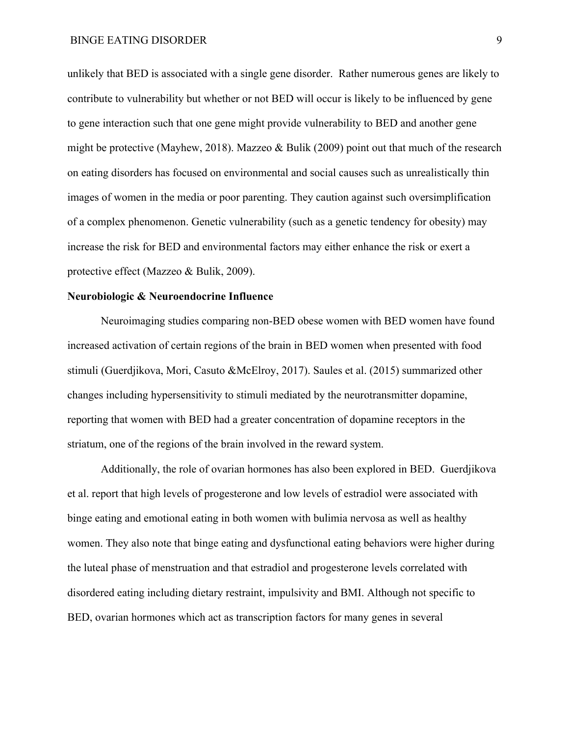unlikely that BED is associated with a single gene disorder. Rather numerous genes are likely to contribute to vulnerability but whether or not BED will occur is likely to be influenced by gene to gene interaction such that one gene might provide vulnerability to BED and another gene might be protective (Mayhew, 2018). Mazzeo & Bulik (2009) point out that much of the research on eating disorders has focused on environmental and social causes such as unrealistically thin images of women in the media or poor parenting. They caution against such oversimplification of a complex phenomenon. Genetic vulnerability (such as a genetic tendency for obesity) may increase the risk for BED and environmental factors may either enhance the risk or exert a protective effect (Mazzeo & Bulik, 2009).

#### **Neurobiologic & Neuroendocrine Influence**

Neuroimaging studies comparing non-BED obese women with BED women have found increased activation of certain regions of the brain in BED women when presented with food stimuli (Guerdjikova, Mori, Casuto &McElroy, 2017). Saules et al. (2015) summarized other changes including hypersensitivity to stimuli mediated by the neurotransmitter dopamine, reporting that women with BED had a greater concentration of dopamine receptors in the striatum, one of the regions of the brain involved in the reward system.

Additionally, the role of ovarian hormones has also been explored in BED. Guerdjikova et al. report that high levels of progesterone and low levels of estradiol were associated with binge eating and emotional eating in both women with bulimia nervosa as well as healthy women. They also note that binge eating and dysfunctional eating behaviors were higher during the luteal phase of menstruation and that estradiol and progesterone levels correlated with disordered eating including dietary restraint, impulsivity and BMI. Although not specific to BED, ovarian hormones which act as transcription factors for many genes in several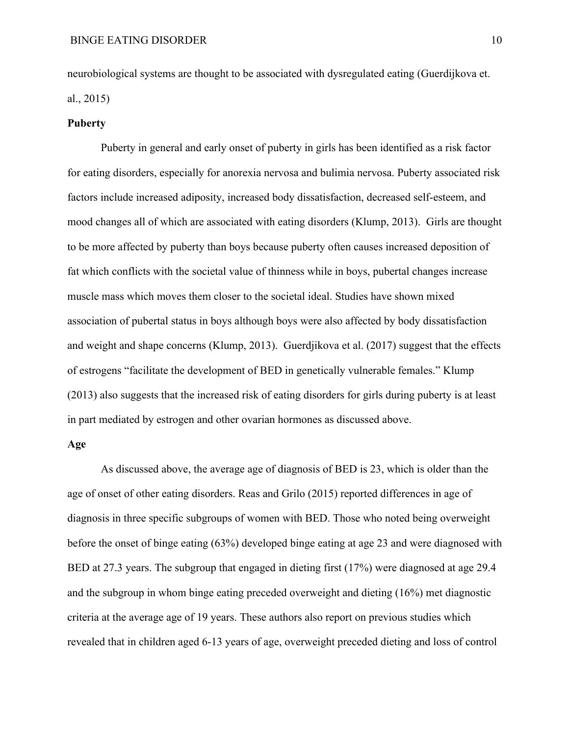neurobiological systems are thought to be associated with dysregulated eating (Guerdijkova et. al., 2015)

#### **Puberty**

Puberty in general and early onset of puberty in girls has been identified as a risk factor for eating disorders, especially for anorexia nervosa and bulimia nervosa. Puberty associated risk factors include increased adiposity, increased body dissatisfaction, decreased self-esteem, and mood changes all of which are associated with eating disorders (Klump, 2013). Girls are thought to be more affected by puberty than boys because puberty often causes increased deposition of fat which conflicts with the societal value of thinness while in boys, pubertal changes increase muscle mass which moves them closer to the societal ideal. Studies have shown mixed association of pubertal status in boys although boys were also affected by body dissatisfaction and weight and shape concerns (Klump, 2013). Guerdjikova et al. (2017) suggest that the effects of estrogens "facilitate the development of BED in genetically vulnerable females." Klump (2013) also suggests that the increased risk of eating disorders for girls during puberty is at least in part mediated by estrogen and other ovarian hormones as discussed above.

### **Age**

As discussed above, the average age of diagnosis of BED is 23, which is older than the age of onset of other eating disorders. Reas and Grilo (2015) reported differences in age of diagnosis in three specific subgroups of women with BED. Those who noted being overweight before the onset of binge eating (63%) developed binge eating at age 23 and were diagnosed with BED at 27.3 years. The subgroup that engaged in dieting first (17%) were diagnosed at age 29.4 and the subgroup in whom binge eating preceded overweight and dieting (16%) met diagnostic criteria at the average age of 19 years. These authors also report on previous studies which revealed that in children aged 6-13 years of age, overweight preceded dieting and loss of control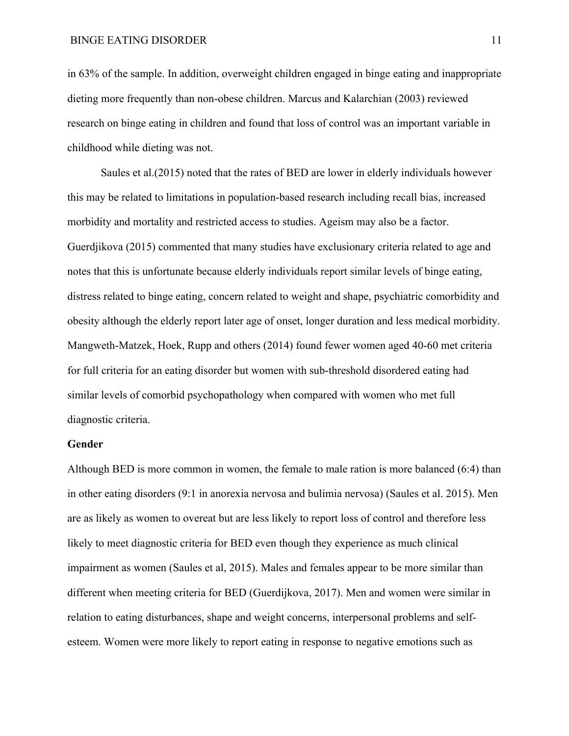in 63% of the sample. In addition, overweight children engaged in binge eating and inappropriate dieting more frequently than non-obese children. Marcus and Kalarchian (2003) reviewed research on binge eating in children and found that loss of control was an important variable in childhood while dieting was not.

Saules et al.(2015) noted that the rates of BED are lower in elderly individuals however this may be related to limitations in population-based research including recall bias, increased morbidity and mortality and restricted access to studies. Ageism may also be a factor. Guerdjikova (2015) commented that many studies have exclusionary criteria related to age and notes that this is unfortunate because elderly individuals report similar levels of binge eating, distress related to binge eating, concern related to weight and shape, psychiatric comorbidity and obesity although the elderly report later age of onset, longer duration and less medical morbidity. Mangweth-Matzek, Hoek, Rupp and others (2014) found fewer women aged 40-60 met criteria for full criteria for an eating disorder but women with sub-threshold disordered eating had similar levels of comorbid psychopathology when compared with women who met full diagnostic criteria.

### **Gender**

Although BED is more common in women, the female to male ration is more balanced (6:4) than in other eating disorders (9:1 in anorexia nervosa and bulimia nervosa) (Saules et al. 2015). Men are as likely as women to overeat but are less likely to report loss of control and therefore less likely to meet diagnostic criteria for BED even though they experience as much clinical impairment as women (Saules et al, 2015). Males and females appear to be more similar than different when meeting criteria for BED (Guerdijkova, 2017). Men and women were similar in relation to eating disturbances, shape and weight concerns, interpersonal problems and selfesteem. Women were more likely to report eating in response to negative emotions such as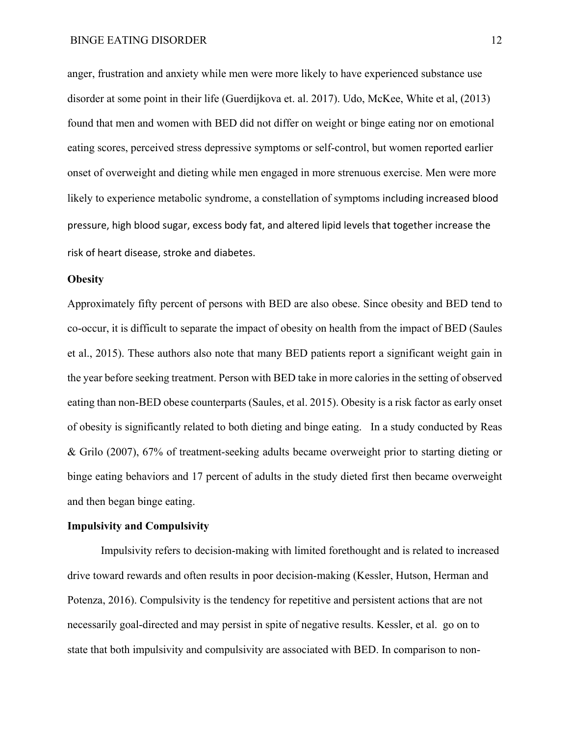#### BINGE EATING DISORDER 12

anger, frustration and anxiety while men were more likely to have experienced substance use disorder at some point in their life (Guerdijkova et. al. 2017). Udo, McKee, White et al, (2013) found that men and women with BED did not differ on weight or binge eating nor on emotional eating scores, perceived stress depressive symptoms or self-control, but women reported earlier onset of overweight and dieting while men engaged in more strenuous exercise. Men were more likely to experience metabolic syndrome, a constellation of symptoms including increased blood pressure, high blood sugar, excess body fat, and altered lipid levels that together increase the risk of heart disease, stroke and diabetes.

#### **Obesity**

Approximately fifty percent of persons with BED are also obese. Since obesity and BED tend to co-occur, it is difficult to separate the impact of obesity on health from the impact of BED (Saules et al., 2015). These authors also note that many BED patients report a significant weight gain in the year before seeking treatment. Person with BED take in more calories in the setting of observed eating than non-BED obese counterparts (Saules, et al. 2015). Obesity is a risk factor as early onset of obesity is significantly related to both dieting and binge eating. In a study conducted by Reas & Grilo (2007), 67% of treatment-seeking adults became overweight prior to starting dieting or binge eating behaviors and 17 percent of adults in the study dieted first then became overweight and then began binge eating.

### **Impulsivity and Compulsivity**

Impulsivity refers to decision-making with limited forethought and is related to increased drive toward rewards and often results in poor decision-making (Kessler, Hutson, Herman and Potenza, 2016). Compulsivity is the tendency for repetitive and persistent actions that are not necessarily goal-directed and may persist in spite of negative results. Kessler, et al. go on to state that both impulsivity and compulsivity are associated with BED. In comparison to non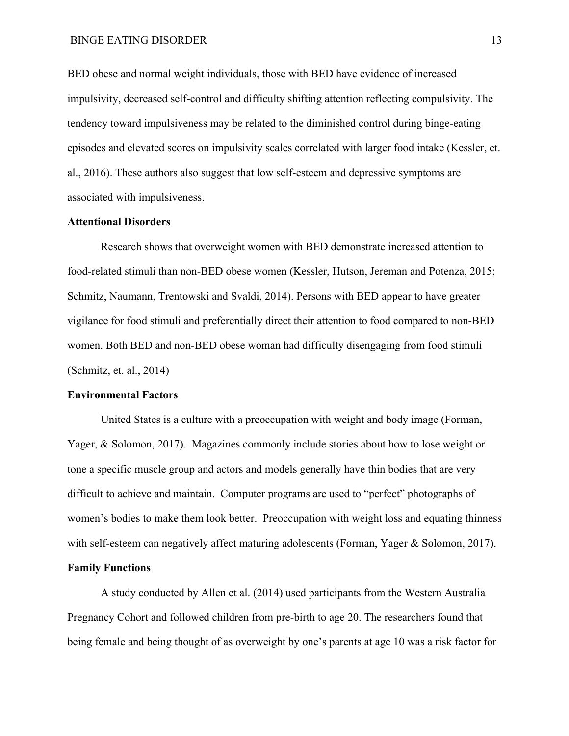BED obese and normal weight individuals, those with BED have evidence of increased impulsivity, decreased self-control and difficulty shifting attention reflecting compulsivity. The tendency toward impulsiveness may be related to the diminished control during binge-eating episodes and elevated scores on impulsivity scales correlated with larger food intake (Kessler, et. al., 2016). These authors also suggest that low self-esteem and depressive symptoms are associated with impulsiveness.

### **Attentional Disorders**

Research shows that overweight women with BED demonstrate increased attention to food-related stimuli than non-BED obese women (Kessler, Hutson, Jereman and Potenza, 2015; Schmitz, Naumann, Trentowski and Svaldi, 2014). Persons with BED appear to have greater vigilance for food stimuli and preferentially direct their attention to food compared to non-BED women. Both BED and non-BED obese woman had difficulty disengaging from food stimuli (Schmitz, et. al., 2014)

#### **Environmental Factors**

United States is a culture with a preoccupation with weight and body image (Forman, Yager, & Solomon, 2017). Magazines commonly include stories about how to lose weight or tone a specific muscle group and actors and models generally have thin bodies that are very difficult to achieve and maintain. Computer programs are used to "perfect" photographs of women's bodies to make them look better. Preoccupation with weight loss and equating thinness with self-esteem can negatively affect maturing adolescents (Forman, Yager & Solomon, 2017).

## **Family Functions**

A study conducted by Allen et al. (2014) used participants from the Western Australia Pregnancy Cohort and followed children from pre-birth to age 20. The researchers found that being female and being thought of as overweight by one's parents at age 10 was a risk factor for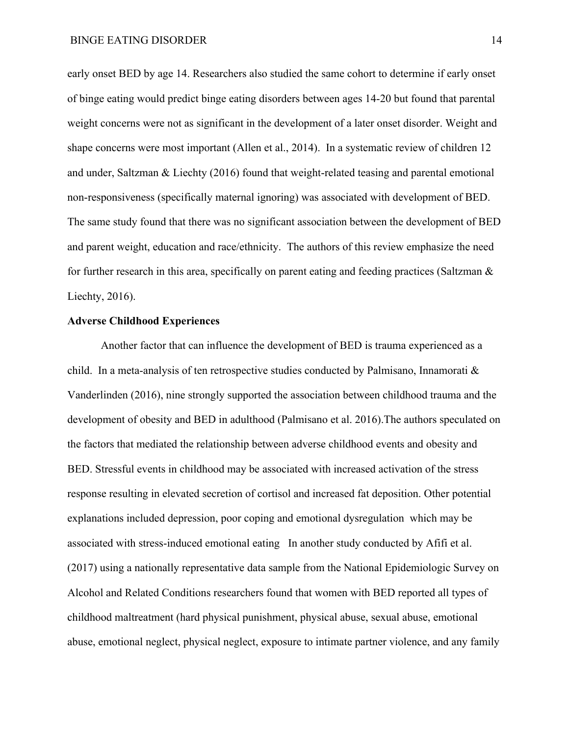early onset BED by age 14. Researchers also studied the same cohort to determine if early onset of binge eating would predict binge eating disorders between ages 14-20 but found that parental weight concerns were not as significant in the development of a later onset disorder. Weight and shape concerns were most important (Allen et al., 2014). In a systematic review of children 12 and under, Saltzman & Liechty (2016) found that weight-related teasing and parental emotional non-responsiveness (specifically maternal ignoring) was associated with development of BED. The same study found that there was no significant association between the development of BED and parent weight, education and race/ethnicity. The authors of this review emphasize the need for further research in this area, specifically on parent eating and feeding practices (Saltzman & Liechty, 2016).

### **Adverse Childhood Experiences**

Another factor that can influence the development of BED is trauma experienced as a child. In a meta-analysis of ten retrospective studies conducted by Palmisano, Innamorati & Vanderlinden (2016), nine strongly supported the association between childhood trauma and the development of obesity and BED in adulthood (Palmisano et al. 2016).The authors speculated on the factors that mediated the relationship between adverse childhood events and obesity and BED. Stressful events in childhood may be associated with increased activation of the stress response resulting in elevated secretion of cortisol and increased fat deposition. Other potential explanations included depression, poor coping and emotional dysregulation which may be associated with stress-induced emotional eating In another study conducted by Afifi et al. (2017) using a nationally representative data sample from the National Epidemiologic Survey on Alcohol and Related Conditions researchers found that women with BED reported all types of childhood maltreatment (hard physical punishment, physical abuse, sexual abuse, emotional abuse, emotional neglect, physical neglect, exposure to intimate partner violence, and any family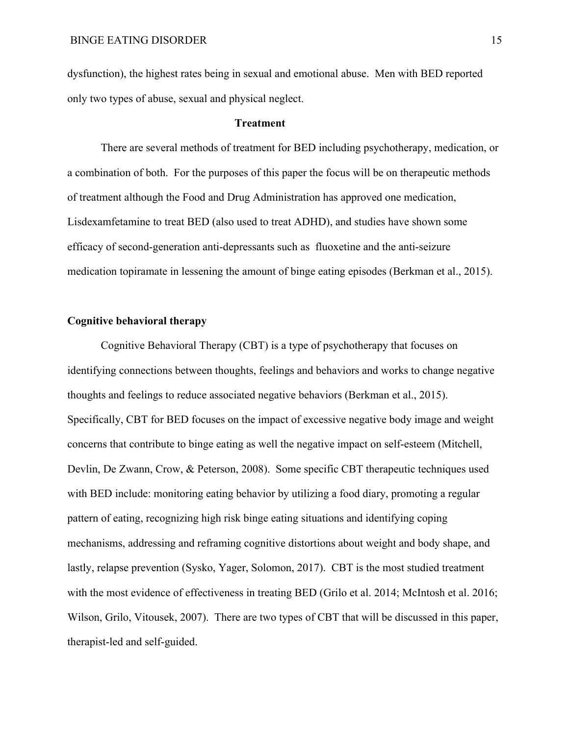dysfunction), the highest rates being in sexual and emotional abuse. Men with BED reported only two types of abuse, sexual and physical neglect.

### **Treatment**

There are several methods of treatment for BED including psychotherapy, medication, or a combination of both. For the purposes of this paper the focus will be on therapeutic methods of treatment although the Food and Drug Administration has approved one medication, Lisdexamfetamine to treat BED (also used to treat ADHD), and studies have shown some efficacy of second-generation anti-depressants such as fluoxetine and the anti-seizure medication topiramate in lessening the amount of binge eating episodes (Berkman et al., 2015).

### **Cognitive behavioral therapy**

Cognitive Behavioral Therapy (CBT) is a type of psychotherapy that focuses on identifying connections between thoughts, feelings and behaviors and works to change negative thoughts and feelings to reduce associated negative behaviors (Berkman et al., 2015). Specifically, CBT for BED focuses on the impact of excessive negative body image and weight concerns that contribute to binge eating as well the negative impact on self-esteem (Mitchell, Devlin, De Zwann, Crow, & Peterson, 2008). Some specific CBT therapeutic techniques used with BED include: monitoring eating behavior by utilizing a food diary, promoting a regular pattern of eating, recognizing high risk binge eating situations and identifying coping mechanisms, addressing and reframing cognitive distortions about weight and body shape, and lastly, relapse prevention (Sysko, Yager, Solomon, 2017). CBT is the most studied treatment with the most evidence of effectiveness in treating BED (Grilo et al. 2014; McIntosh et al. 2016; Wilson, Grilo, Vitousek, 2007). There are two types of CBT that will be discussed in this paper, therapist-led and self-guided.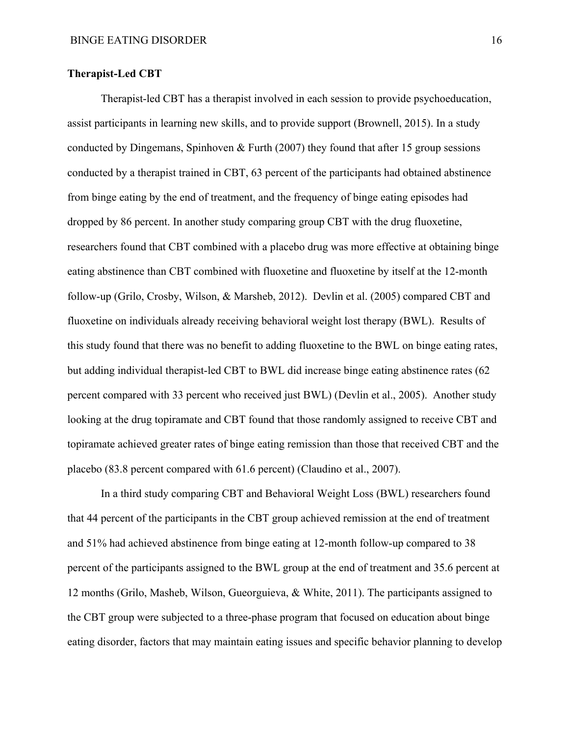### **Therapist-Led CBT**

Therapist-led CBT has a therapist involved in each session to provide psychoeducation, assist participants in learning new skills, and to provide support (Brownell, 2015). In a study conducted by Dingemans, Spinhoven & Furth  $(2007)$  they found that after 15 group sessions conducted by a therapist trained in CBT, 63 percent of the participants had obtained abstinence from binge eating by the end of treatment, and the frequency of binge eating episodes had dropped by 86 percent. In another study comparing group CBT with the drug fluoxetine, researchers found that CBT combined with a placebo drug was more effective at obtaining binge eating abstinence than CBT combined with fluoxetine and fluoxetine by itself at the 12-month follow-up (Grilo, Crosby, Wilson, & Marsheb, 2012). Devlin et al. (2005) compared CBT and fluoxetine on individuals already receiving behavioral weight lost therapy (BWL). Results of this study found that there was no benefit to adding fluoxetine to the BWL on binge eating rates, but adding individual therapist-led CBT to BWL did increase binge eating abstinence rates (62 percent compared with 33 percent who received just BWL) (Devlin et al., 2005). Another study looking at the drug topiramate and CBT found that those randomly assigned to receive CBT and topiramate achieved greater rates of binge eating remission than those that received CBT and the placebo (83.8 percent compared with 61.6 percent) (Claudino et al., 2007).

In a third study comparing CBT and Behavioral Weight Loss (BWL) researchers found that 44 percent of the participants in the CBT group achieved remission at the end of treatment and 51% had achieved abstinence from binge eating at 12-month follow-up compared to 38 percent of the participants assigned to the BWL group at the end of treatment and 35.6 percent at 12 months (Grilo, Masheb, Wilson, Gueorguieva, & White, 2011). The participants assigned to the CBT group were subjected to a three-phase program that focused on education about binge eating disorder, factors that may maintain eating issues and specific behavior planning to develop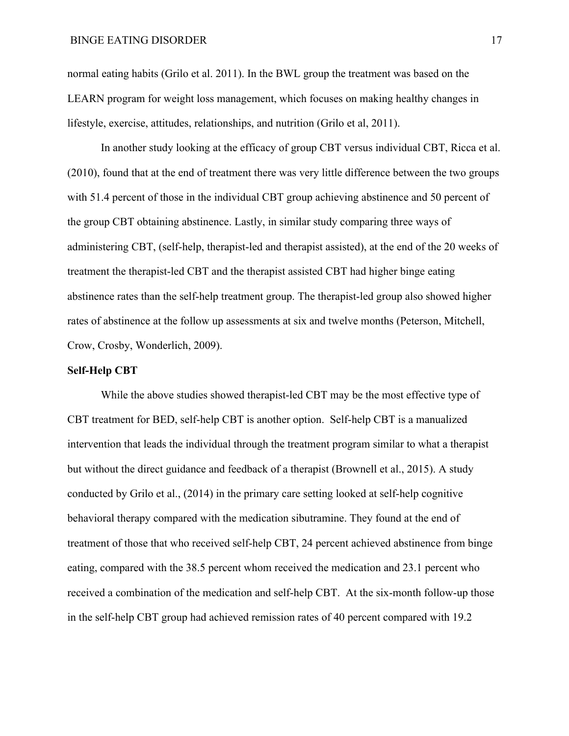normal eating habits (Grilo et al. 2011). In the BWL group the treatment was based on the LEARN program for weight loss management, which focuses on making healthy changes in lifestyle, exercise, attitudes, relationships, and nutrition (Grilo et al, 2011).

In another study looking at the efficacy of group CBT versus individual CBT, Ricca et al. (2010), found that at the end of treatment there was very little difference between the two groups with 51.4 percent of those in the individual CBT group achieving abstinence and 50 percent of the group CBT obtaining abstinence. Lastly, in similar study comparing three ways of administering CBT, (self-help, therapist-led and therapist assisted), at the end of the 20 weeks of treatment the therapist-led CBT and the therapist assisted CBT had higher binge eating abstinence rates than the self-help treatment group. The therapist-led group also showed higher rates of abstinence at the follow up assessments at six and twelve months (Peterson, Mitchell, Crow, Crosby, Wonderlich, 2009).

#### **Self-Help CBT**

While the above studies showed therapist-led CBT may be the most effective type of CBT treatment for BED, self-help CBT is another option. Self-help CBT is a manualized intervention that leads the individual through the treatment program similar to what a therapist but without the direct guidance and feedback of a therapist (Brownell et al., 2015). A study conducted by Grilo et al., (2014) in the primary care setting looked at self-help cognitive behavioral therapy compared with the medication sibutramine. They found at the end of treatment of those that who received self-help CBT, 24 percent achieved abstinence from binge eating, compared with the 38.5 percent whom received the medication and 23.1 percent who received a combination of the medication and self-help CBT. At the six-month follow-up those in the self-help CBT group had achieved remission rates of 40 percent compared with 19.2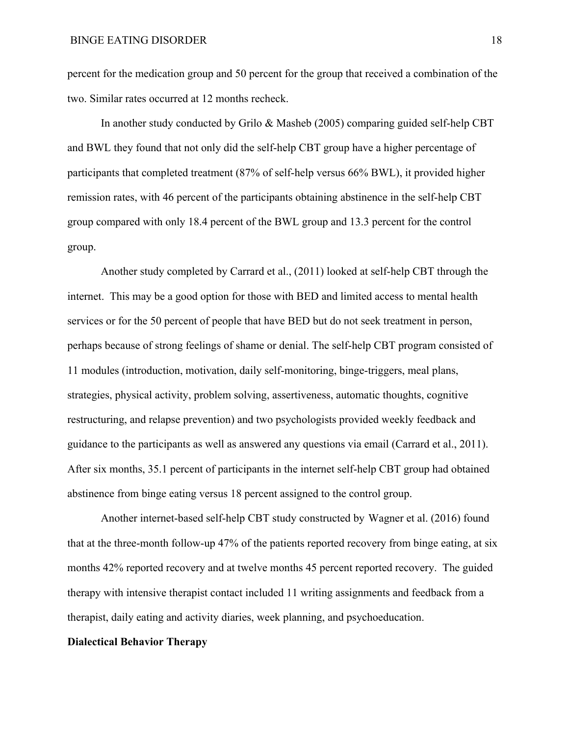percent for the medication group and 50 percent for the group that received a combination of the two. Similar rates occurred at 12 months recheck.

In another study conducted by Grilo & Masheb (2005) comparing guided self-help CBT and BWL they found that not only did the self-help CBT group have a higher percentage of participants that completed treatment (87% of self-help versus 66% BWL), it provided higher remission rates, with 46 percent of the participants obtaining abstinence in the self-help CBT group compared with only 18.4 percent of the BWL group and 13.3 percent for the control group.

Another study completed by Carrard et al., (2011) looked at self-help CBT through the internet. This may be a good option for those with BED and limited access to mental health services or for the 50 percent of people that have BED but do not seek treatment in person, perhaps because of strong feelings of shame or denial. The self-help CBT program consisted of 11 modules (introduction, motivation, daily self-monitoring, binge-triggers, meal plans, strategies, physical activity, problem solving, assertiveness, automatic thoughts, cognitive restructuring, and relapse prevention) and two psychologists provided weekly feedback and guidance to the participants as well as answered any questions via email (Carrard et al., 2011). After six months, 35.1 percent of participants in the internet self-help CBT group had obtained abstinence from binge eating versus 18 percent assigned to the control group.

Another internet-based self-help CBT study constructed by Wagner et al. (2016) found that at the three-month follow-up 47% of the patients reported recovery from binge eating, at six months 42% reported recovery and at twelve months 45 percent reported recovery. The guided therapy with intensive therapist contact included 11 writing assignments and feedback from a therapist, daily eating and activity diaries, week planning, and psychoeducation.

#### **Dialectical Behavior Therapy**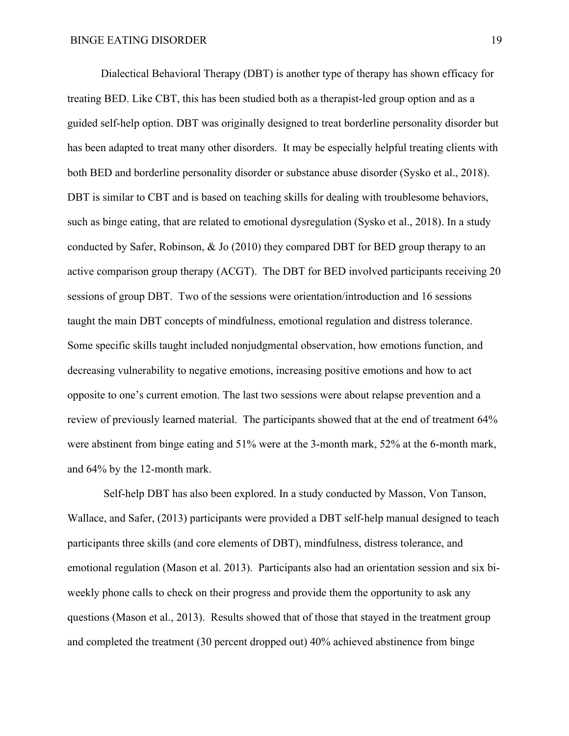Dialectical Behavioral Therapy (DBT) is another type of therapy has shown efficacy for treating BED. Like CBT, this has been studied both as a therapist-led group option and as a guided self-help option. DBT was originally designed to treat borderline personality disorder but has been adapted to treat many other disorders. It may be especially helpful treating clients with both BED and borderline personality disorder or substance abuse disorder (Sysko et al., 2018). DBT is similar to CBT and is based on teaching skills for dealing with troublesome behaviors, such as binge eating, that are related to emotional dysregulation (Sysko et al., 2018). In a study conducted by Safer, Robinson, & Jo (2010) they compared DBT for BED group therapy to an active comparison group therapy (ACGT). The DBT for BED involved participants receiving 20 sessions of group DBT. Two of the sessions were orientation/introduction and 16 sessions taught the main DBT concepts of mindfulness, emotional regulation and distress tolerance. Some specific skills taught included nonjudgmental observation, how emotions function, and decreasing vulnerability to negative emotions, increasing positive emotions and how to act opposite to one's current emotion. The last two sessions were about relapse prevention and a review of previously learned material. The participants showed that at the end of treatment 64% were abstinent from binge eating and 51% were at the 3-month mark, 52% at the 6-month mark, and 64% by the 12-month mark.

Self-help DBT has also been explored. In a study conducted by Masson, Von Tanson, Wallace, and Safer, (2013) participants were provided a DBT self-help manual designed to teach participants three skills (and core elements of DBT), mindfulness, distress tolerance, and emotional regulation (Mason et al. 2013). Participants also had an orientation session and six biweekly phone calls to check on their progress and provide them the opportunity to ask any questions (Mason et al., 2013). Results showed that of those that stayed in the treatment group and completed the treatment (30 percent dropped out) 40% achieved abstinence from binge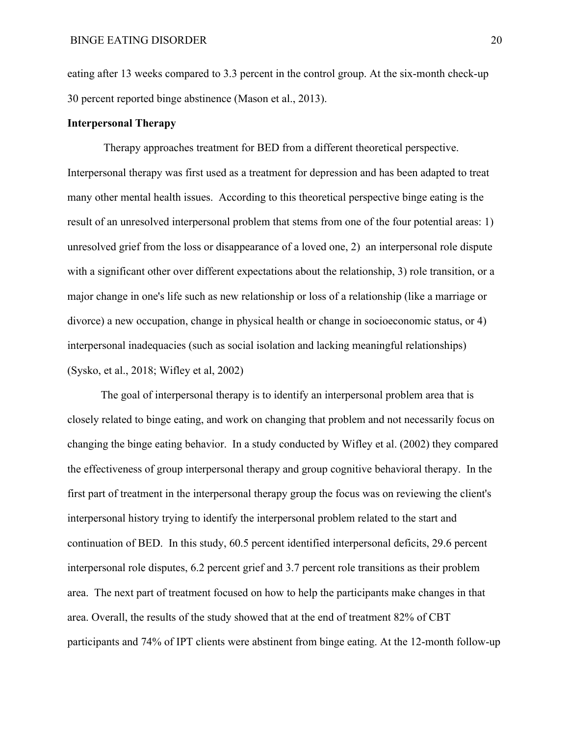eating after 13 weeks compared to 3.3 percent in the control group. At the six-month check-up 30 percent reported binge abstinence (Mason et al., 2013).

### **Interpersonal Therapy**

Therapy approaches treatment for BED from a different theoretical perspective. Interpersonal therapy was first used as a treatment for depression and has been adapted to treat many other mental health issues. According to this theoretical perspective binge eating is the result of an unresolved interpersonal problem that stems from one of the four potential areas: 1) unresolved grief from the loss or disappearance of a loved one, 2) an interpersonal role dispute with a significant other over different expectations about the relationship, 3) role transition, or a major change in one's life such as new relationship or loss of a relationship (like a marriage or divorce) a new occupation, change in physical health or change in socioeconomic status, or 4) interpersonal inadequacies (such as social isolation and lacking meaningful relationships) (Sysko, et al., 2018; Wifley et al, 2002)

The goal of interpersonal therapy is to identify an interpersonal problem area that is closely related to binge eating, and work on changing that problem and not necessarily focus on changing the binge eating behavior. In a study conducted by Wifley et al. (2002) they compared the effectiveness of group interpersonal therapy and group cognitive behavioral therapy. In the first part of treatment in the interpersonal therapy group the focus was on reviewing the client's interpersonal history trying to identify the interpersonal problem related to the start and continuation of BED. In this study, 60.5 percent identified interpersonal deficits, 29.6 percent interpersonal role disputes, 6.2 percent grief and 3.7 percent role transitions as their problem area. The next part of treatment focused on how to help the participants make changes in that area. Overall, the results of the study showed that at the end of treatment 82% of CBT participants and 74% of IPT clients were abstinent from binge eating. At the 12-month follow-up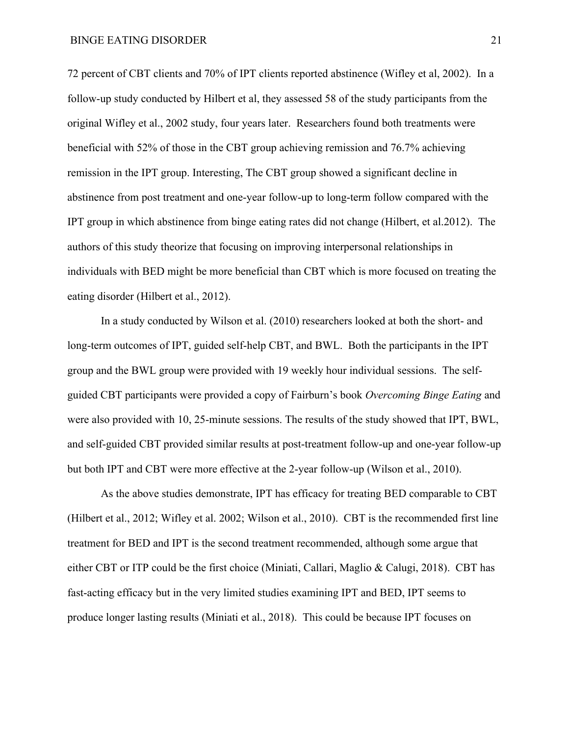72 percent of CBT clients and 70% of IPT clients reported abstinence (Wifley et al, 2002). In a follow-up study conducted by Hilbert et al, they assessed 58 of the study participants from the original Wifley et al., 2002 study, four years later. Researchers found both treatments were beneficial with 52% of those in the CBT group achieving remission and 76.7% achieving remission in the IPT group. Interesting, The CBT group showed a significant decline in abstinence from post treatment and one-year follow-up to long-term follow compared with the IPT group in which abstinence from binge eating rates did not change (Hilbert, et al.2012). The authors of this study theorize that focusing on improving interpersonal relationships in individuals with BED might be more beneficial than CBT which is more focused on treating the eating disorder (Hilbert et al., 2012).

In a study conducted by Wilson et al. (2010) researchers looked at both the short- and long-term outcomes of IPT, guided self-help CBT, and BWL. Both the participants in the IPT group and the BWL group were provided with 19 weekly hour individual sessions. The selfguided CBT participants were provided a copy of Fairburn's book *Overcoming Binge Eating* and were also provided with 10, 25-minute sessions. The results of the study showed that IPT, BWL, and self-guided CBT provided similar results at post-treatment follow-up and one-year follow-up but both IPT and CBT were more effective at the 2-year follow-up (Wilson et al., 2010).

As the above studies demonstrate, IPT has efficacy for treating BED comparable to CBT (Hilbert et al., 2012; Wifley et al. 2002; Wilson et al., 2010). CBT is the recommended first line treatment for BED and IPT is the second treatment recommended, although some argue that either CBT or ITP could be the first choice (Miniati, Callari, Maglio & Calugi, 2018). CBT has fast-acting efficacy but in the very limited studies examining IPT and BED, IPT seems to produce longer lasting results (Miniati et al., 2018). This could be because IPT focuses on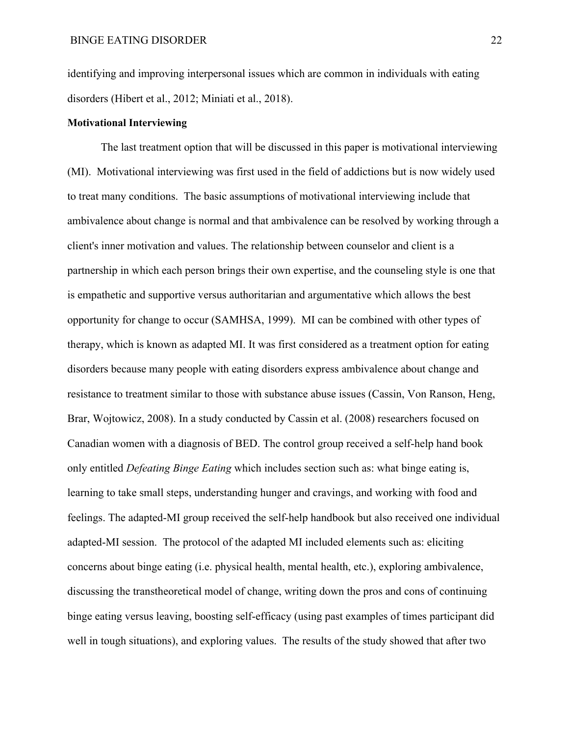identifying and improving interpersonal issues which are common in individuals with eating disorders (Hibert et al., 2012; Miniati et al., 2018).

### **Motivational Interviewing**

The last treatment option that will be discussed in this paper is motivational interviewing (MI). Motivational interviewing was first used in the field of addictions but is now widely used to treat many conditions. The basic assumptions of motivational interviewing include that ambivalence about change is normal and that ambivalence can be resolved by working through a client's inner motivation and values. The relationship between counselor and client is a partnership in which each person brings their own expertise, and the counseling style is one that is empathetic and supportive versus authoritarian and argumentative which allows the best opportunity for change to occur (SAMHSA, 1999). MI can be combined with other types of therapy, which is known as adapted MI. It was first considered as a treatment option for eating disorders because many people with eating disorders express ambivalence about change and resistance to treatment similar to those with substance abuse issues (Cassin, Von Ranson, Heng, Brar, Wojtowicz, 2008). In a study conducted by Cassin et al. (2008) researchers focused on Canadian women with a diagnosis of BED. The control group received a self-help hand book only entitled *Defeating Binge Eating* which includes section such as: what binge eating is, learning to take small steps, understanding hunger and cravings, and working with food and feelings. The adapted-MI group received the self-help handbook but also received one individual adapted-MI session. The protocol of the adapted MI included elements such as: eliciting concerns about binge eating (i.e. physical health, mental health, etc.), exploring ambivalence, discussing the transtheoretical model of change, writing down the pros and cons of continuing binge eating versus leaving, boosting self-efficacy (using past examples of times participant did well in tough situations), and exploring values. The results of the study showed that after two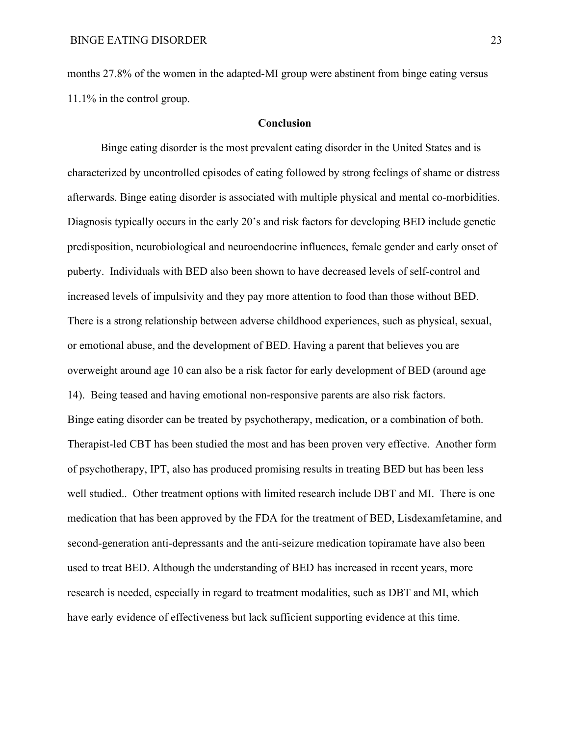months 27.8% of the women in the adapted-MI group were abstinent from binge eating versus 11.1% in the control group.

### **Conclusion**

Binge eating disorder is the most prevalent eating disorder in the United States and is characterized by uncontrolled episodes of eating followed by strong feelings of shame or distress afterwards. Binge eating disorder is associated with multiple physical and mental co-morbidities. Diagnosis typically occurs in the early 20's and risk factors for developing BED include genetic predisposition, neurobiological and neuroendocrine influences, female gender and early onset of puberty. Individuals with BED also been shown to have decreased levels of self-control and increased levels of impulsivity and they pay more attention to food than those without BED. There is a strong relationship between adverse childhood experiences, such as physical, sexual, or emotional abuse, and the development of BED. Having a parent that believes you are overweight around age 10 can also be a risk factor for early development of BED (around age 14). Being teased and having emotional non-responsive parents are also risk factors. Binge eating disorder can be treated by psychotherapy, medication, or a combination of both. Therapist-led CBT has been studied the most and has been proven very effective. Another form of psychotherapy, IPT, also has produced promising results in treating BED but has been less well studied.. Other treatment options with limited research include DBT and MI. There is one medication that has been approved by the FDA for the treatment of BED, Lisdexamfetamine, and second-generation anti-depressants and the anti-seizure medication topiramate have also been used to treat BED. Although the understanding of BED has increased in recent years, more research is needed, especially in regard to treatment modalities, such as DBT and MI, which have early evidence of effectiveness but lack sufficient supporting evidence at this time.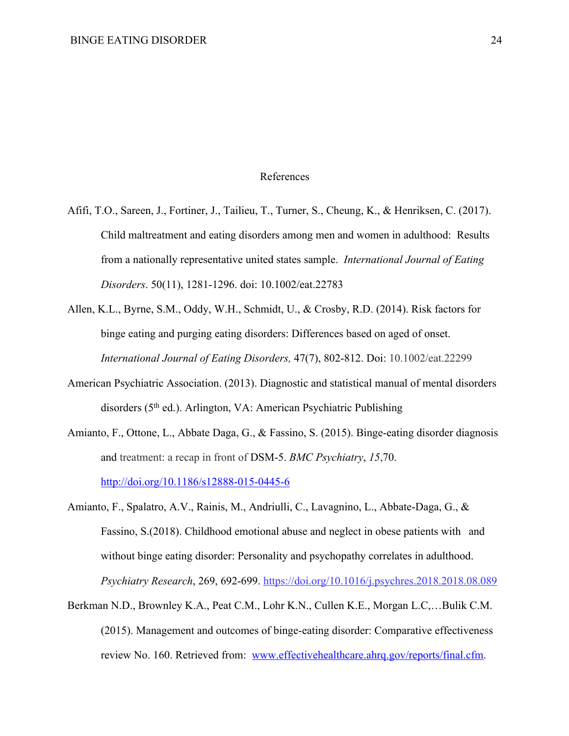### References

- Afifi, T.O., Sareen, J., Fortiner, J., Tailieu, T., Turner, S., Cheung, K., & Henriksen, C. (2017). Child maltreatment and eating disorders among men and women in adulthood: Results from a nationally representative united states sample. *International Journal of Eating Disorders*. 50(11), 1281-1296. doi: 10.1002/eat.22783
- Allen, K.L., Byrne, S.M., Oddy, W.H., Schmidt, U., & Crosby, R.D. (2014). Risk factors for binge eating and purging eating disorders: Differences based on aged of onset. *International Journal of Eating Disorders,* 47(7), 802-812. Doi: 10.1002/eat.22299
- American Psychiatric Association. (2013). Diagnostic and statistical manual of mental disorders disorders (5<sup>th</sup> ed.). Arlington, VA: American Psychiatric Publishing
- Amianto, F., Ottone, L., Abbate Daga, G., & Fassino, S. (2015). Binge-eating disorder diagnosis and treatment: a recap in front of DSM-5. *BMC Psychiatry*, *15*,70. http://doi.org/10.1186/s12888-015-0445-6
- Amianto, F., Spalatro, A.V., Rainis, M., Andriulli, C., Lavagnino, L., Abbate-Daga, G., & Fassino, S.(2018). Childhood emotional abuse and neglect in obese patients with and without binge eating disorder: Personality and psychopathy correlates in adulthood. *Psychiatry Research*, 269, 692-699. https://doi.org/10.1016/j.psychres.2018.2018.08.089
- Berkman N.D., Brownley K.A., Peat C.M., Lohr K.N., Cullen K.E., Morgan L.C,…Bulik C.M. (2015). Management and outcomes of binge-eating disorder: Comparative effectiveness review No. 160. Retrieved from: www.effectivehealthcare.ahrq.gov/reports/final.cfm.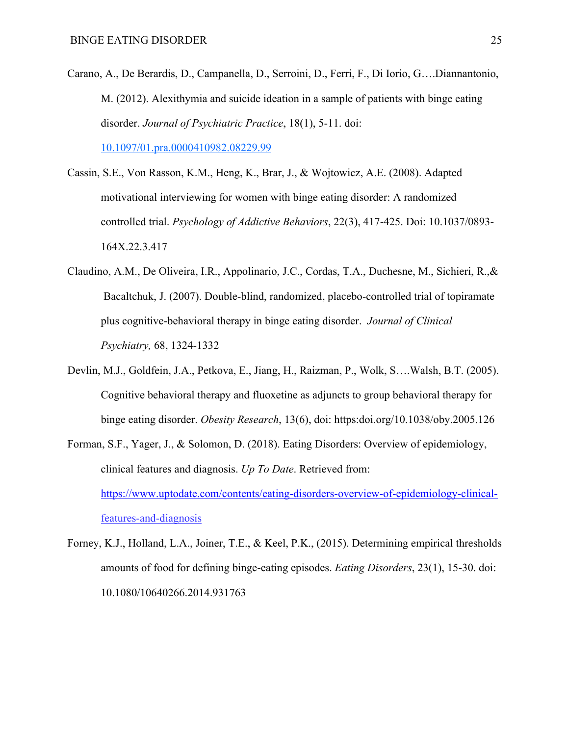- Carano, A., De Berardis, D., Campanella, D., Serroini, D., Ferri, F., Di Iorio, G….Diannantonio, M. (2012). Alexithymia and suicide ideation in a sample of patients with binge eating disorder. *Journal of Psychiatric Practice*, 18(1), 5-11. doi: 10.1097/01.pra.0000410982.08229.99
- Cassin, S.E., Von Rasson, K.M., Heng, K., Brar, J., & Wojtowicz, A.E. (2008). Adapted motivational interviewing for women with binge eating disorder: A randomized controlled trial. *Psychology of Addictive Behaviors*, 22(3), 417-425. Doi: 10.1037/0893- 164X.22.3.417
- Claudino, A.M., De Oliveira, I.R., Appolinario, J.C., Cordas, T.A., Duchesne, M., Sichieri, R.,& Bacaltchuk, J. (2007). Double-blind, randomized, placebo-controlled trial of topiramate plus cognitive-behavioral therapy in binge eating disorder. *Journal of Clinical Psychiatry,* 68, 1324-1332
- Devlin, M.J., Goldfein, J.A., Petkova, E., Jiang, H., Raizman, P., Wolk, S….Walsh, B.T. (2005). Cognitive behavioral therapy and fluoxetine as adjuncts to group behavioral therapy for binge eating disorder. *Obesity Research*, 13(6), doi: https:doi.org/10.1038/oby.2005.126
- Forman, S.F., Yager, J., & Solomon, D. (2018). Eating Disorders: Overview of epidemiology, clinical features and diagnosis. *Up To Date*. Retrieved from: https://www.uptodate.com/contents/eating-disorders-overview-of-epidemiology-clinicalfeatures-and-diagnosis
- Forney, K.J., Holland, L.A., Joiner, T.E., & Keel, P.K., (2015). Determining empirical thresholds amounts of food for defining binge-eating episodes. *Eating Disorders*, 23(1), 15-30. doi: 10.1080/10640266.2014.931763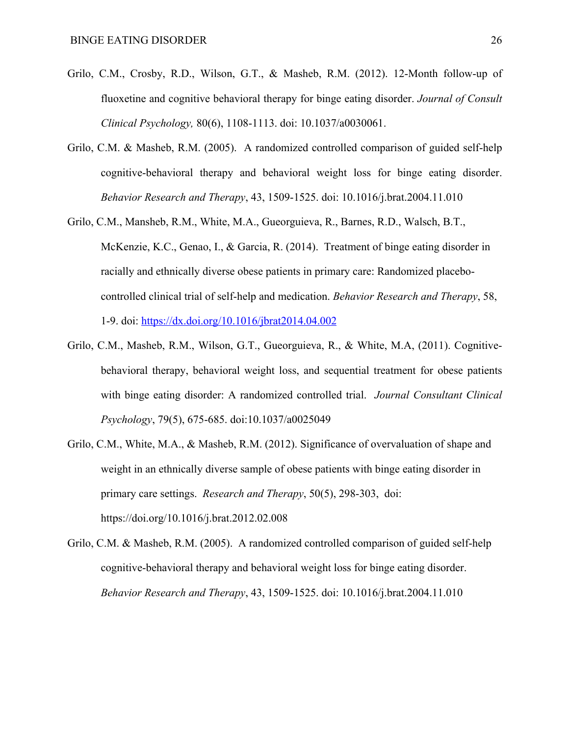- Grilo, C.M., Crosby, R.D., Wilson, G.T., & Masheb, R.M. (2012). 12-Month follow-up of fluoxetine and cognitive behavioral therapy for binge eating disorder. *Journal of Consult Clinical Psychology,* 80(6), 1108-1113. doi: 10.1037/a0030061.
- Grilo, C.M. & Masheb, R.M. (2005). A randomized controlled comparison of guided self-help cognitive-behavioral therapy and behavioral weight loss for binge eating disorder. *Behavior Research and Therapy*, 43, 1509-1525. doi: 10.1016/j.brat.2004.11.010
- Grilo, C.M., Mansheb, R.M., White, M.A., Gueorguieva, R., Barnes, R.D., Walsch, B.T., McKenzie, K.C., Genao, I., & Garcia, R. (2014). Treatment of binge eating disorder in racially and ethnically diverse obese patients in primary care: Randomized placebocontrolled clinical trial of self-help and medication. *Behavior Research and Therapy*, 58, 1-9. doi: https://dx.doi.org/10.1016/jbrat2014.04.002
- Grilo, C.M., Masheb, R.M., Wilson, G.T., Gueorguieva, R., & White, M.A, (2011). Cognitivebehavioral therapy, behavioral weight loss, and sequential treatment for obese patients with binge eating disorder: A randomized controlled trial. *Journal Consultant Clinical Psychology*, 79(5), 675-685. doi:10.1037/a0025049
- Grilo, C.M., White, M.A., & Masheb, R.M. (2012). Significance of overvaluation of shape and weight in an ethnically diverse sample of obese patients with binge eating disorder in primary care settings. *Research and Therapy*, 50(5), 298-303, doi: https://doi.org/10.1016/j.brat.2012.02.008
- Grilo, C.M. & Masheb, R.M. (2005). A randomized controlled comparison of guided self-help cognitive-behavioral therapy and behavioral weight loss for binge eating disorder. *Behavior Research and Therapy*, 43, 1509-1525. doi: 10.1016/j.brat.2004.11.010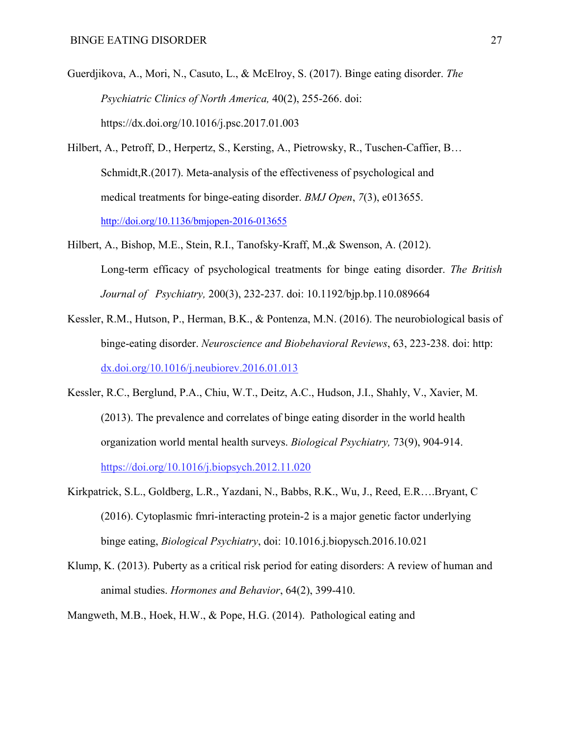- Guerdjikova, A., Mori, N., Casuto, L., & McElroy, S. (2017). Binge eating disorder. *The Psychiatric Clinics of North America,* 40(2), 255-266. doi: https://dx.doi.org/10.1016/j.psc.2017.01.003
- Hilbert, A., Petroff, D., Herpertz, S., Kersting, A., Pietrowsky, R., Tuschen-Caffier, B… Schmidt,R.(2017). Meta-analysis of the effectiveness of psychological and medical treatments for binge-eating disorder. *BMJ Open*, *7*(3), e013655. http://doi.org/10.1136/bmjopen-2016-013655
- Hilbert, A., Bishop, M.E., Stein, R.I., Tanofsky-Kraff, M.,& Swenson, A. (2012). Long-term efficacy of psychological treatments for binge eating disorder. *The British Journal of Psychiatry,* 200(3), 232-237. doi: 10.1192/bjp.bp.110.089664
- Kessler, R.M., Hutson, P., Herman, B.K., & Pontenza, M.N. (2016). The neurobiological basis of binge-eating disorder. *Neuroscience and Biobehavioral Reviews*, 63, 223-238. doi: http: dx.doi.org/10.1016/j.neubiorev.2016.01.013
- Kessler, R.C., Berglund, P.A., Chiu, W.T., Deitz, A.C., Hudson, J.I., Shahly, V., Xavier, M. (2013). The prevalence and correlates of binge eating disorder in the world health organization world mental health surveys. *Biological Psychiatry,* 73(9), 904-914. https://doi.org/10.1016/j.biopsych.2012.11.020
- Kirkpatrick, S.L., Goldberg, L.R., Yazdani, N., Babbs, R.K., Wu, J., Reed, E.R….Bryant, C (2016). Cytoplasmic fmri-interacting protein-2 is a major genetic factor underlying binge eating, *Biological Psychiatry*, doi: 10.1016.j.biopysch.2016.10.021
- Klump, K. (2013). Puberty as a critical risk period for eating disorders: A review of human and animal studies. *Hormones and Behavior*, 64(2), 399-410.
- Mangweth, M.B., Hoek, H.W., & Pope, H.G. (2014). Pathological eating and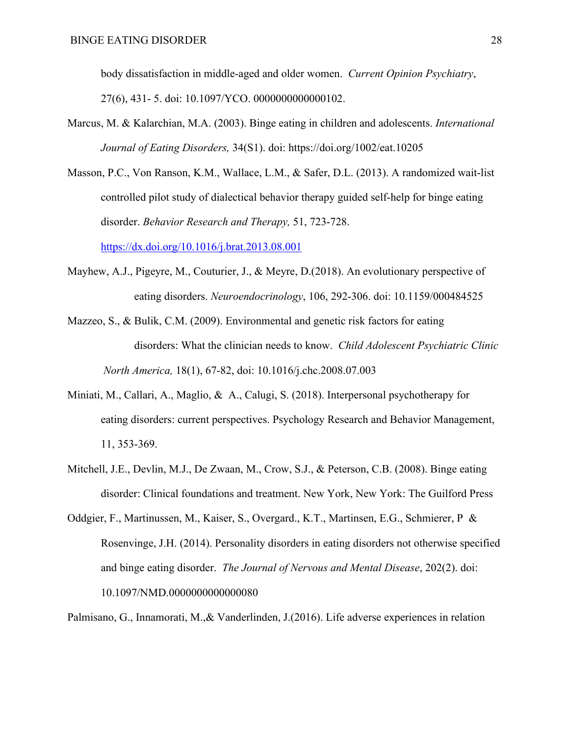body dissatisfaction in middle-aged and older women. *Current Opinion Psychiatry*, 27(6), 431- 5. doi: 10.1097/YCO. 0000000000000102.

- Marcus, M. & Kalarchian, M.A. (2003). Binge eating in children and adolescents. *International Journal of Eating Disorders,* 34(S1). doi: https://doi.org/1002/eat.10205
- Masson, P.C., Von Ranson, K.M., Wallace, L.M., & Safer, D.L. (2013). A randomized wait-list controlled pilot study of dialectical behavior therapy guided self-help for binge eating disorder. *Behavior Research and Therapy,* 51, 723-728.

https://dx.doi.org/10.1016/j.brat.2013.08.001

- Mayhew, A.J., Pigeyre, M., Couturier, J., & Meyre, D.(2018). An evolutionary perspective of eating disorders. *Neuroendocrinology*, 106, 292-306. doi: 10.1159/000484525
- Mazzeo, S., & Bulik, C.M. (2009). Environmental and genetic risk factors for eating disorders: What the clinician needs to know. *Child Adolescent Psychiatric Clinic North America,* 18(1), 67-82, doi: 10.1016/j.chc.2008.07.003
- Miniati, M., Callari, A., Maglio, & A., Calugi, S. (2018). Interpersonal psychotherapy for eating disorders: current perspectives. Psychology Research and Behavior Management, 11, 353-369.
- Mitchell, J.E., Devlin, M.J., De Zwaan, M., Crow, S.J., & Peterson, C.B. (2008). Binge eating disorder: Clinical foundations and treatment. New York, New York: The Guilford Press
- Oddgier, F., Martinussen, M., Kaiser, S., Overgard., K.T., Martinsen, E.G., Schmierer, P & Rosenvinge, J.H. (2014). Personality disorders in eating disorders not otherwise specified and binge eating disorder. *The Journal of Nervous and Mental Disease*, 202(2). doi: 10.1097/NMD.0000000000000080

Palmisano, G., Innamorati, M.,& Vanderlinden, J.(2016). Life adverse experiences in relation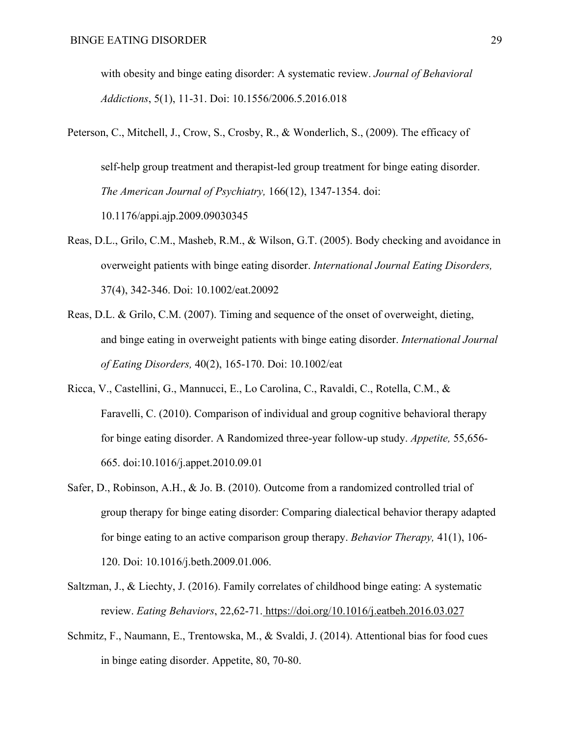with obesity and binge eating disorder: A systematic review. *Journal of Behavioral Addictions*, 5(1), 11-31. Doi: 10.1556/2006.5.2016.018

- Peterson, C., Mitchell, J., Crow, S., Crosby, R., & Wonderlich, S., (2009). The efficacy of self-help group treatment and therapist-led group treatment for binge eating disorder. *The American Journal of Psychiatry,* 166(12), 1347-1354. doi: 10.1176/appi.ajp.2009.09030345
- Reas, D.L., Grilo, C.M., Masheb, R.M., & Wilson, G.T. (2005). Body checking and avoidance in overweight patients with binge eating disorder. *International Journal Eating Disorders,*  37(4), 342-346. Doi: 10.1002/eat.20092
- Reas, D.L. & Grilo, C.M. (2007). Timing and sequence of the onset of overweight, dieting, and binge eating in overweight patients with binge eating disorder. *International Journal of Eating Disorders,* 40(2), 165-170. Doi: 10.1002/eat
- Ricca, V., Castellini, G., Mannucci, E., Lo Carolina, C., Ravaldi, C., Rotella, C.M., & Faravelli, C. (2010). Comparison of individual and group cognitive behavioral therapy for binge eating disorder. A Randomized three-year follow-up study. *Appetite,* 55,656- 665. doi:10.1016/j.appet.2010.09.01
- Safer, D., Robinson, A.H., & Jo. B. (2010). Outcome from a randomized controlled trial of group therapy for binge eating disorder: Comparing dialectical behavior therapy adapted for binge eating to an active comparison group therapy. *Behavior Therapy,* 41(1), 106- 120. Doi: 10.1016/j.beth.2009.01.006.
- Saltzman, J., & Liechty, J. (2016). Family correlates of childhood binge eating: A systematic review. *Eating Behaviors*, 22,62-71. https://doi.org/10.1016/j.eatbeh.2016.03.027
- Schmitz, F., Naumann, E., Trentowska, M., & Svaldi, J. (2014). Attentional bias for food cues in binge eating disorder. Appetite, 80, 70-80.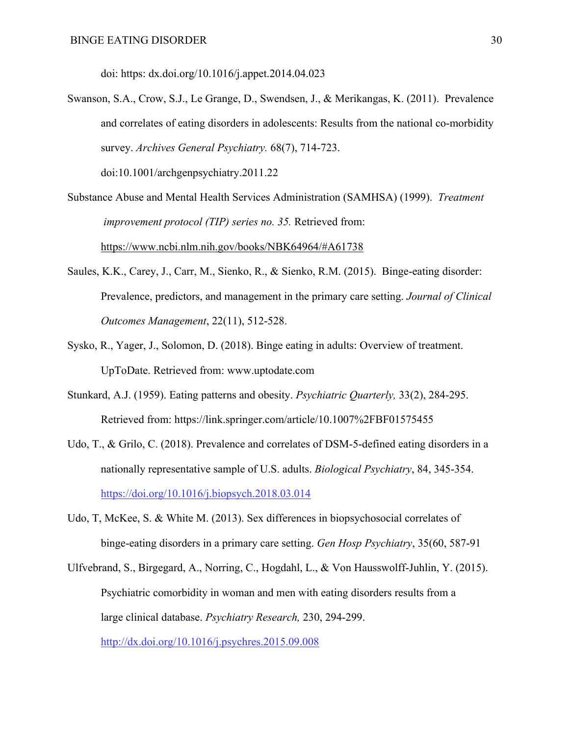doi: https: dx.doi.org/10.1016/j.appet.2014.04.023

Swanson, S.A., Crow, S.J., Le Grange, D., Swendsen, J., & Merikangas, K. (2011). Prevalence and correlates of eating disorders in adolescents: Results from the national co-morbidity survey. *Archives General Psychiatry.* 68(7), 714-723. doi:10.1001/archgenpsychiatry.2011.22

Substance Abuse and Mental Health Services Administration (SAMHSA) (1999). *Treatment improvement protocol (TIP) series no. 35.* Retrieved from: https://www.ncbi.nlm.nih.gov/books/NBK64964/#A61738

- Saules, K.K., Carey, J., Carr, M., Sienko, R., & Sienko, R.M. (2015). Binge-eating disorder: Prevalence, predictors, and management in the primary care setting. *Journal of Clinical Outcomes Management*, 22(11), 512-528.
- Sysko, R., Yager, J., Solomon, D. (2018). Binge eating in adults: Overview of treatment. UpToDate. Retrieved from: www.uptodate.com
- Stunkard, A.J. (1959). Eating patterns and obesity. *Psychiatric Quarterly,* 33(2), 284-295. Retrieved from: https://link.springer.com/article/10.1007%2FBF01575455
- Udo, T., & Grilo, C. (2018). Prevalence and correlates of DSM-5-defined eating disorders in a nationally representative sample of U.S. adults. *Biological Psychiatry*, 84, 345-354. https://doi.org/10.1016/j.biopsych.2018.03.014
- Udo, T, McKee, S. & White M. (2013). Sex differences in biopsychosocial correlates of binge-eating disorders in a primary care setting. *Gen Hosp Psychiatry*, 35(60, 587-91
- Ulfvebrand, S., Birgegard, A., Norring, C., Hogdahl, L., & Von Hausswolff-Juhlin, Y. (2015). Psychiatric comorbidity in woman and men with eating disorders results from a large clinical database. *Psychiatry Research,* 230, 294-299. http://dx.doi.org/10.1016/j.psychres.2015.09.008